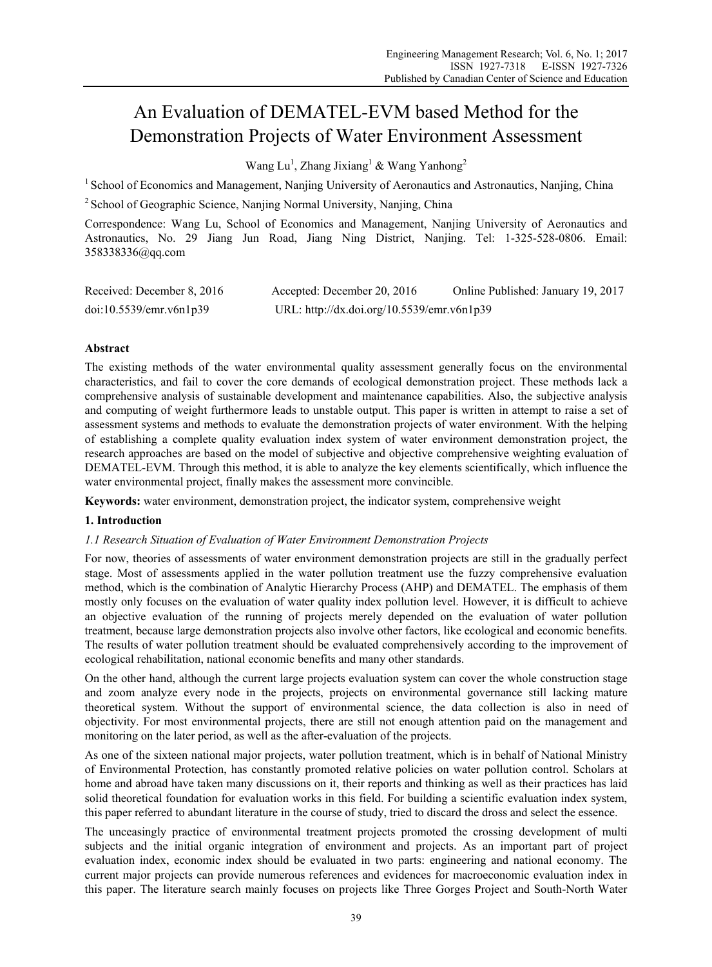# An Evaluation of DEMATEL-EVM based Method for the Demonstration Projects of Water Environment Assessment

Wang Lu<sup>1</sup>, Zhang Jixiang<sup>1</sup> & Wang Yanhong<sup>2</sup>

<sup>1</sup> School of Economics and Management, Nanjing University of Aeronautics and Astronautics, Nanjing, China

<sup>2</sup> School of Geographic Science, Nanjing Normal University, Nanjing, China

Correspondence: Wang Lu, School of Economics and Management, Nanjing University of Aeronautics and Astronautics, No. 29 Jiang Jun Road, Jiang Ning District, Nanjing. Tel: 1-325-528-0806. Email: 358338336@qq.com

| Received: December 8, 2016 | Accepted: December 20, 2016                | Online Published: January 19, 2017 |
|----------------------------|--------------------------------------------|------------------------------------|
| doi:10.5539/emr.v6n1p39    | URL: http://dx.doi.org/10.5539/emr.v6n1p39 |                                    |

# **Abstract**

The existing methods of the water environmental quality assessment generally focus on the environmental characteristics, and fail to cover the core demands of ecological demonstration project. These methods lack a comprehensive analysis of sustainable development and maintenance capabilities. Also, the subjective analysis and computing of weight furthermore leads to unstable output. This paper is written in attempt to raise a set of assessment systems and methods to evaluate the demonstration projects of water environment. With the helping of establishing a complete quality evaluation index system of water environment demonstration project, the research approaches are based on the model of subjective and objective comprehensive weighting evaluation of DEMATEL-EVM. Through this method, it is able to analyze the key elements scientifically, which influence the water environmental project, finally makes the assessment more convincible.

**Keywords:** water environment, demonstration project, the indicator system, comprehensive weight

# **1. Introduction**

## *1.1 Research Situation of Evaluation of Water Environment Demonstration Projects*

For now, theories of assessments of water environment demonstration projects are still in the gradually perfect stage. Most of assessments applied in the water pollution treatment use the fuzzy comprehensive evaluation method, which is the combination of Analytic Hierarchy Process (AHP) and DEMATEL. The emphasis of them mostly only focuses on the evaluation of water quality index pollution level. However, it is difficult to achieve an objective evaluation of the running of projects merely depended on the evaluation of water pollution treatment, because large demonstration projects also involve other factors, like ecological and economic benefits. The results of water pollution treatment should be evaluated comprehensively according to the improvement of ecological rehabilitation, national economic benefits and many other standards.

On the other hand, although the current large projects evaluation system can cover the whole construction stage and zoom analyze every node in the projects, projects on environmental governance still lacking mature theoretical system. Without the support of environmental science, the data collection is also in need of objectivity. For most environmental projects, there are still not enough attention paid on the management and monitoring on the later period, as well as the after-evaluation of the projects.

As one of the sixteen national major projects, water pollution treatment, which is in behalf of National Ministry of Environmental Protection, has constantly promoted relative policies on water pollution control. Scholars at home and abroad have taken many discussions on it, their reports and thinking as well as their practices has laid solid theoretical foundation for evaluation works in this field. For building a scientific evaluation index system, this paper referred to abundant literature in the course of study, tried to discard the dross and select the essence.

The unceasingly practice of environmental treatment projects promoted the crossing development of multi subjects and the initial organic integration of environment and projects. As an important part of project evaluation index, economic index should be evaluated in two parts: engineering and national economy. The current major projects can provide numerous references and evidences for macroeconomic evaluation index in this paper. The literature search mainly focuses on projects like Three Gorges Project and South-North Water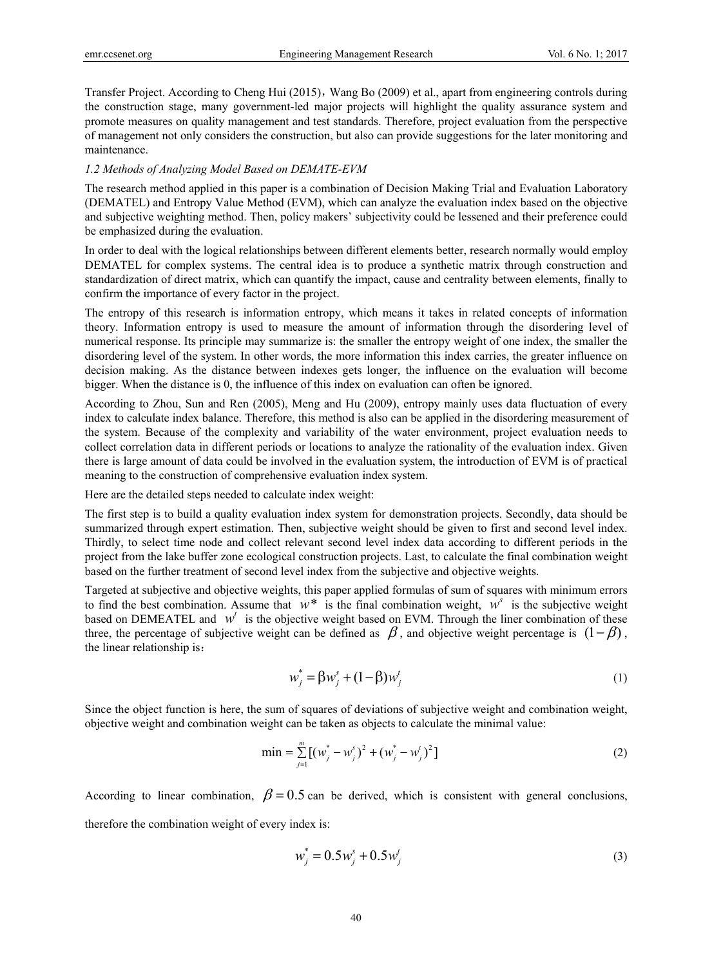Transfer Project. According to Cheng Hui (2015), Wang Bo (2009) et al., apart from engineering controls during the construction stage, many government-led major projects will highlight the quality assurance system and promote measures on quality management and test standards. Therefore, project evaluation from the perspective of management not only considers the construction, but also can provide suggestions for the later monitoring and maintenance.

## *1.2 Methods of Analyzing Model Based on DEMATE-EVM*

The research method applied in this paper is a combination of Decision Making Trial and Evaluation Laboratory (DEMATEL) and Entropy Value Method (EVM), which can analyze the evaluation index based on the objective and subjective weighting method. Then, policy makers' subjectivity could be lessened and their preference could be emphasized during the evaluation.

In order to deal with the logical relationships between different elements better, research normally would employ DEMATEL for complex systems. The central idea is to produce a synthetic matrix through construction and standardization of direct matrix, which can quantify the impact, cause and centrality between elements, finally to confirm the importance of every factor in the project.

The entropy of this research is information entropy, which means it takes in related concepts of information theory. Information entropy is used to measure the amount of information through the disordering level of numerical response. Its principle may summarize is: the smaller the entropy weight of one index, the smaller the disordering level of the system. In other words, the more information this index carries, the greater influence on decision making. As the distance between indexes gets longer, the influence on the evaluation will become bigger. When the distance is 0, the influence of this index on evaluation can often be ignored.

According to Zhou, Sun and Ren (2005), Meng and Hu (2009), entropy mainly uses data fluctuation of every index to calculate index balance. Therefore, this method is also can be applied in the disordering measurement of the system. Because of the complexity and variability of the water environment, project evaluation needs to collect correlation data in different periods or locations to analyze the rationality of the evaluation index. Given there is large amount of data could be involved in the evaluation system, the introduction of EVM is of practical meaning to the construction of comprehensive evaluation index system.

Here are the detailed steps needed to calculate index weight:

The first step is to build a quality evaluation index system for demonstration projects. Secondly, data should be summarized through expert estimation. Then, subjective weight should be given to first and second level index. Thirdly, to select time node and collect relevant second level index data according to different periods in the project from the lake buffer zone ecological construction projects. Last, to calculate the final combination weight based on the further treatment of second level index from the subjective and objective weights.

Targeted at subjective and objective weights, this paper applied formulas of sum of squares with minimum errors to find the best combination. Assume that  $w^*$  is the final combination weight,  $w^s$  is the subjective weight based on DEMEATEL and  $w<sup>t</sup>$  is the objective weight based on EVM. Through the liner combination of these three, the percentage of subjective weight can be defined as  $\beta$ , and objective weight percentage is  $(1 - \beta)$ , the linear relationship is:

$$
w_j^* = \beta w_j^s + (1 - \beta) w_j^t \tag{1}
$$

Since the object function is here, the sum of squares of deviations of subjective weight and combination weight, objective weight and combination weight can be taken as objects to calculate the minimal value:

$$
\min = \sum_{j=1}^{m} \left[ \left( w_j^* - w_j^* \right)^2 + \left( w_j^* - w_j^* \right)^2 \right] \tag{2}
$$

According to linear combination,  $\beta = 0.5$  can be derived, which is consistent with general conclusions,

therefore the combination weight of every index is:

$$
w_j^* = 0.5w_j^s + 0.5w_j^t
$$
 (3)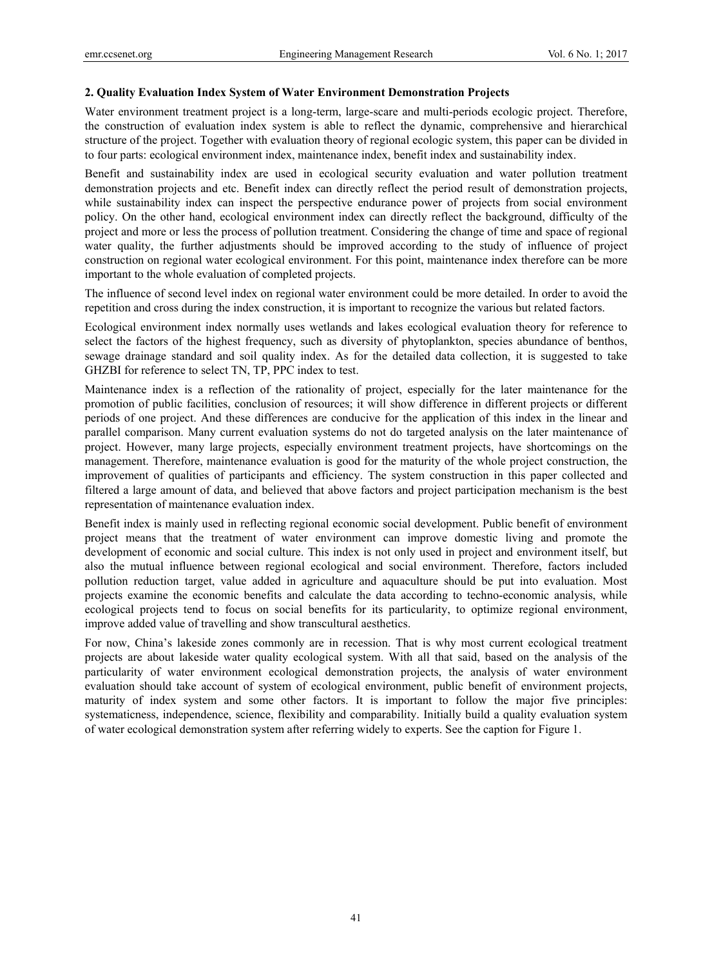## **2. Quality Evaluation Index System of Water Environment Demonstration Projects**

Water environment treatment project is a long-term, large-scare and multi-periods ecologic project. Therefore, the construction of evaluation index system is able to reflect the dynamic, comprehensive and hierarchical structure of the project. Together with evaluation theory of regional ecologic system, this paper can be divided in to four parts: ecological environment index, maintenance index, benefit index and sustainability index.

Benefit and sustainability index are used in ecological security evaluation and water pollution treatment demonstration projects and etc. Benefit index can directly reflect the period result of demonstration projects, while sustainability index can inspect the perspective endurance power of projects from social environment policy. On the other hand, ecological environment index can directly reflect the background, difficulty of the project and more or less the process of pollution treatment. Considering the change of time and space of regional water quality, the further adjustments should be improved according to the study of influence of project construction on regional water ecological environment. For this point, maintenance index therefore can be more important to the whole evaluation of completed projects.

The influence of second level index on regional water environment could be more detailed. In order to avoid the repetition and cross during the index construction, it is important to recognize the various but related factors.

Ecological environment index normally uses wetlands and lakes ecological evaluation theory for reference to select the factors of the highest frequency, such as diversity of phytoplankton, species abundance of benthos, sewage drainage standard and soil quality index. As for the detailed data collection, it is suggested to take GHZBI for reference to select TN, TP, PPC index to test.

Maintenance index is a reflection of the rationality of project, especially for the later maintenance for the promotion of public facilities, conclusion of resources; it will show difference in different projects or different periods of one project. And these differences are conducive for the application of this index in the linear and parallel comparison. Many current evaluation systems do not do targeted analysis on the later maintenance of project. However, many large projects, especially environment treatment projects, have shortcomings on the management. Therefore, maintenance evaluation is good for the maturity of the whole project construction, the improvement of qualities of participants and efficiency. The system construction in this paper collected and filtered a large amount of data, and believed that above factors and project participation mechanism is the best representation of maintenance evaluation index.

Benefit index is mainly used in reflecting regional economic social development. Public benefit of environment project means that the treatment of water environment can improve domestic living and promote the development of economic and social culture. This index is not only used in project and environment itself, but also the mutual influence between regional ecological and social environment. Therefore, factors included pollution reduction target, value added in agriculture and aquaculture should be put into evaluation. Most projects examine the economic benefits and calculate the data according to techno-economic analysis, while ecological projects tend to focus on social benefits for its particularity, to optimize regional environment, improve added value of travelling and show transcultural aesthetics.

For now, China's lakeside zones commonly are in recession. That is why most current ecological treatment projects are about lakeside water quality ecological system. With all that said, based on the analysis of the particularity of water environment ecological demonstration projects, the analysis of water environment evaluation should take account of system of ecological environment, public benefit of environment projects, maturity of index system and some other factors. It is important to follow the major five principles: systematicness, independence, science, flexibility and comparability. Initially build a quality evaluation system of water ecological demonstration system after referring widely to experts. See the caption for Figure 1.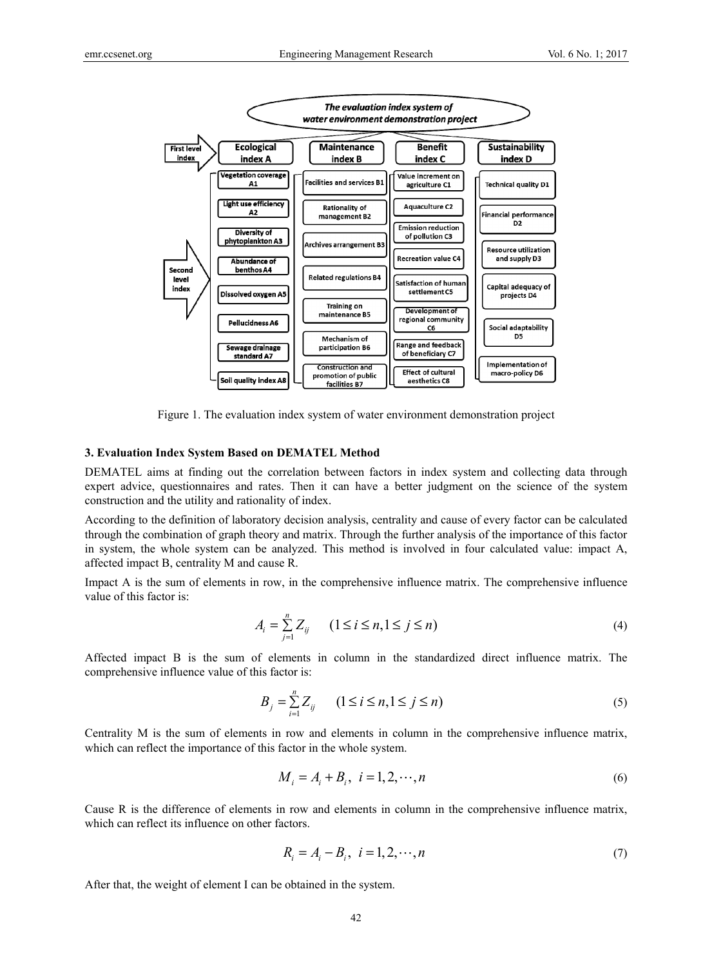

Figure 1. The evaluation index system of water environment demonstration project

## **3. Evaluation Index System Based on DEMATEL Method**

DEMATEL aims at finding out the correlation between factors in index system and collecting data through expert advice, questionnaires and rates. Then it can have a better judgment on the science of the system construction and the utility and rationality of index.

According to the definition of laboratory decision analysis, centrality and cause of every factor can be calculated through the combination of graph theory and matrix. Through the further analysis of the importance of this factor in system, the whole system can be analyzed. This method is involved in four calculated value: impact A, affected impact B, centrality M and cause R.

Impact A is the sum of elements in row, in the comprehensive influence matrix. The comprehensive influence value of this factor is:

$$
A_i = \sum_{j=1}^{n} Z_{ij} \qquad (1 \le i \le n, 1 \le j \le n)
$$
 (4)

Affected impact B is the sum of elements in column in the standardized direct influence matrix. The comprehensive influence value of this factor is:

$$
B_j = \sum_{i=1}^{n} Z_{ij} \qquad (1 \le i \le n, 1 \le j \le n)
$$
 (5)

Centrality M is the sum of elements in row and elements in column in the comprehensive influence matrix, which can reflect the importance of this factor in the whole system.

$$
M_i = A_i + B_i, \ i = 1, 2, \cdots, n
$$
 (6)

Cause R is the difference of elements in row and elements in column in the comprehensive influence matrix, which can reflect its influence on other factors.

$$
R_i = A_i - B_i, \ i = 1, 2, \cdots, n
$$
\n(7)

After that, the weight of element I can be obtained in the system.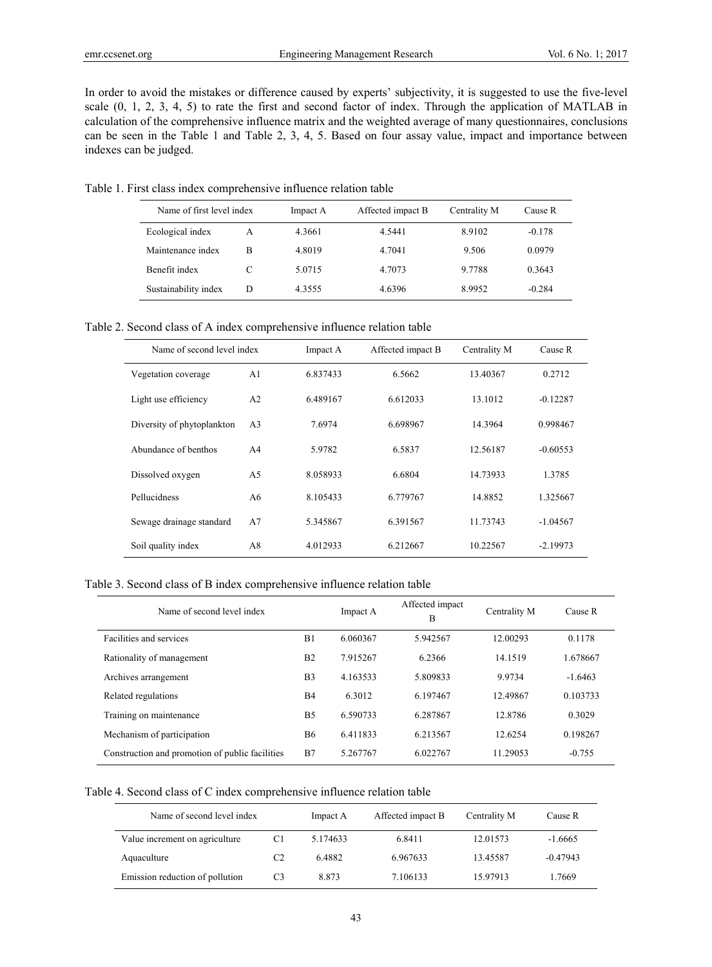In order to avoid the mistakes or difference caused by experts' subjectivity, it is suggested to use the five-level scale (0, 1, 2, 3, 4, 5) to rate the first and second factor of index. Through the application of MATLAB in calculation of the comprehensive influence matrix and the weighted average of many questionnaires, conclusions can be seen in the Table 1 and Table 2, 3, 4, 5. Based on four assay value, impact and importance between indexes can be judged.

Table 1. First class index comprehensive influence relation table

| Name of first level index |   | Impact A | Affected impact B | Centrality M | Cause R  |
|---------------------------|---|----------|-------------------|--------------|----------|
| Ecological index          | A | 4.3661   | 4.5441            | 8.9102       | $-0.178$ |
| Maintenance index         | в | 4.8019   | 4.7041            | 9.506        | 0.0979   |
| Benefit index             |   | 5.0715   | 4.7073            | 9.7788       | 0.3643   |
| Sustainability index      | D | 4.3555   | 4.6396            | 8.9952       | $-0.284$ |

Table 2. Second class of A index comprehensive influence relation table

| Name of second level index |                | Impact A | Affected impact B | Centrality M | Cause R    |
|----------------------------|----------------|----------|-------------------|--------------|------------|
| Vegetation coverage        | A <sub>1</sub> | 6.837433 | 6.5662            | 13.40367     | 0.2712     |
| Light use efficiency       | A <sub>2</sub> | 6.489167 | 6.612033          | 13.1012      | $-0.12287$ |
| Diversity of phytoplankton | A <sub>3</sub> | 7.6974   | 6.698967          | 14.3964      | 0.998467   |
| Abundance of benthos       | A <sub>4</sub> | 5.9782   | 6.5837            | 12.56187     | $-0.60553$ |
| Dissolved oxygen           | A5             | 8.058933 | 6.6804            | 14.73933     | 1.3785     |
| Pellucidness               | A6             | 8.105433 | 6.779767          | 14.8852      | 1.325667   |
| Sewage drainage standard   | A7             | 5.345867 | 6.391567          | 11.73743     | $-1.04567$ |
| Soil quality index         | A8             | 4.012933 | 6.212667          | 10.22567     | $-2.19973$ |

#### Table 3. Second class of B index comprehensive influence relation table

| Name of second level index                      |                | Impact A | Affected impact<br>B | Centrality M | Cause R   |
|-------------------------------------------------|----------------|----------|----------------------|--------------|-----------|
| Facilities and services                         | B1             | 6.060367 | 5.942567             | 12.00293     | 0.1178    |
| Rationality of management                       | B <sub>2</sub> | 7.915267 | 6.2366               | 14.1519      | 1.678667  |
| Archives arrangement                            | B <sub>3</sub> | 4.163533 | 5.809833             | 9.9734       | $-1.6463$ |
| Related regulations                             | B <sub>4</sub> | 6.3012   | 6.197467             | 12.49867     | 0.103733  |
| Training on maintenance                         | B <sub>5</sub> | 6.590733 | 6.287867             | 12.8786      | 0.3029    |
| Mechanism of participation                      | <b>B6</b>      | 6.411833 | 6.213567             | 12.6254      | 0.198267  |
| Construction and promotion of public facilities | B7             | 5.267767 | 6.022767             | 11.29053     | $-0.755$  |

# Table 4. Second class of C index comprehensive influence relation table

| Name of second level index      |                | Impact A | Affected impact B | Centrality M | Cause R    |
|---------------------------------|----------------|----------|-------------------|--------------|------------|
| Value increment on agriculture  | C1             | 5.174633 | 6.8411            | 12.01573     | $-1.6665$  |
| Aquaculture                     | C <sub>2</sub> | 6.4882   | 6.967633          | 13.45587     | $-0.47943$ |
| Emission reduction of pollution | C3             | 8.873    | 7.106133          | 15.97913     | .7669      |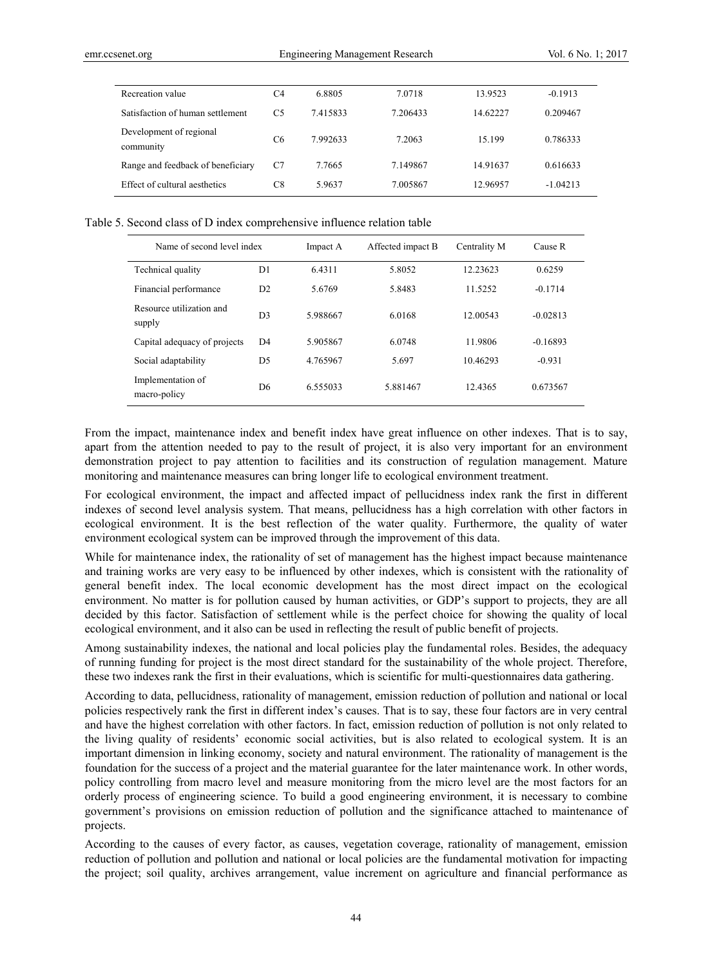| Recreation value                     | C4             | 6.8805   | 7.0718   | 13.9523  | $-0.1913$  |
|--------------------------------------|----------------|----------|----------|----------|------------|
| Satisfaction of human settlement     | C <sub>5</sub> | 7.415833 | 7.206433 | 14.62227 | 0.209467   |
| Development of regional<br>community | C <sub>6</sub> | 7.992633 | 7.2063   | 15.199   | 0.786333   |
| Range and feedback of beneficiary    | C7             | 7.7665   | 7.149867 | 14.91637 | 0.616633   |
| Effect of cultural aesthetics        | C8             | 5.9637   | 7.005867 | 12.96957 | $-1.04213$ |

#### Table 5. Second class of D index comprehensive influence relation table

| Name of second level index         |                | Impact A | Affected impact B |          | Cause R    |
|------------------------------------|----------------|----------|-------------------|----------|------------|
| Technical quality                  | D1             | 6.4311   | 5.8052            | 12.23623 | 0.6259     |
| Financial performance              | D2             | 5.6769   | 5.8483            | 11.5252  | $-0.1714$  |
| Resource utilization and<br>supply | D <sub>3</sub> | 5.988667 | 6.0168            | 12.00543 | $-0.02813$ |
| Capital adequacy of projects       | D <sub>4</sub> | 5.905867 | 6.0748            | 11.9806  | $-0.16893$ |
| Social adaptability                | D <sub>5</sub> | 4.765967 | 5.697             | 10.46293 | $-0.931$   |
| Implementation of<br>macro-policy  | D <sub>6</sub> | 6.555033 | 5.881467          | 12.4365  | 0.673567   |

From the impact, maintenance index and benefit index have great influence on other indexes. That is to say, apart from the attention needed to pay to the result of project, it is also very important for an environment demonstration project to pay attention to facilities and its construction of regulation management. Mature monitoring and maintenance measures can bring longer life to ecological environment treatment.

For ecological environment, the impact and affected impact of pellucidness index rank the first in different indexes of second level analysis system. That means, pellucidness has a high correlation with other factors in ecological environment. It is the best reflection of the water quality. Furthermore, the quality of water environment ecological system can be improved through the improvement of this data.

While for maintenance index, the rationality of set of management has the highest impact because maintenance and training works are very easy to be influenced by other indexes, which is consistent with the rationality of general benefit index. The local economic development has the most direct impact on the ecological environment. No matter is for pollution caused by human activities, or GDP's support to projects, they are all decided by this factor. Satisfaction of settlement while is the perfect choice for showing the quality of local ecological environment, and it also can be used in reflecting the result of public benefit of projects.

Among sustainability indexes, the national and local policies play the fundamental roles. Besides, the adequacy of running funding for project is the most direct standard for the sustainability of the whole project. Therefore, these two indexes rank the first in their evaluations, which is scientific for multi-questionnaires data gathering.

According to data, pellucidness, rationality of management, emission reduction of pollution and national or local policies respectively rank the first in different index's causes. That is to say, these four factors are in very central and have the highest correlation with other factors. In fact, emission reduction of pollution is not only related to the living quality of residents' economic social activities, but is also related to ecological system. It is an important dimension in linking economy, society and natural environment. The rationality of management is the foundation for the success of a project and the material guarantee for the later maintenance work. In other words, policy controlling from macro level and measure monitoring from the micro level are the most factors for an orderly process of engineering science. To build a good engineering environment, it is necessary to combine government's provisions on emission reduction of pollution and the significance attached to maintenance of projects.

According to the causes of every factor, as causes, vegetation coverage, rationality of management, emission reduction of pollution and pollution and national or local policies are the fundamental motivation for impacting the project; soil quality, archives arrangement, value increment on agriculture and financial performance as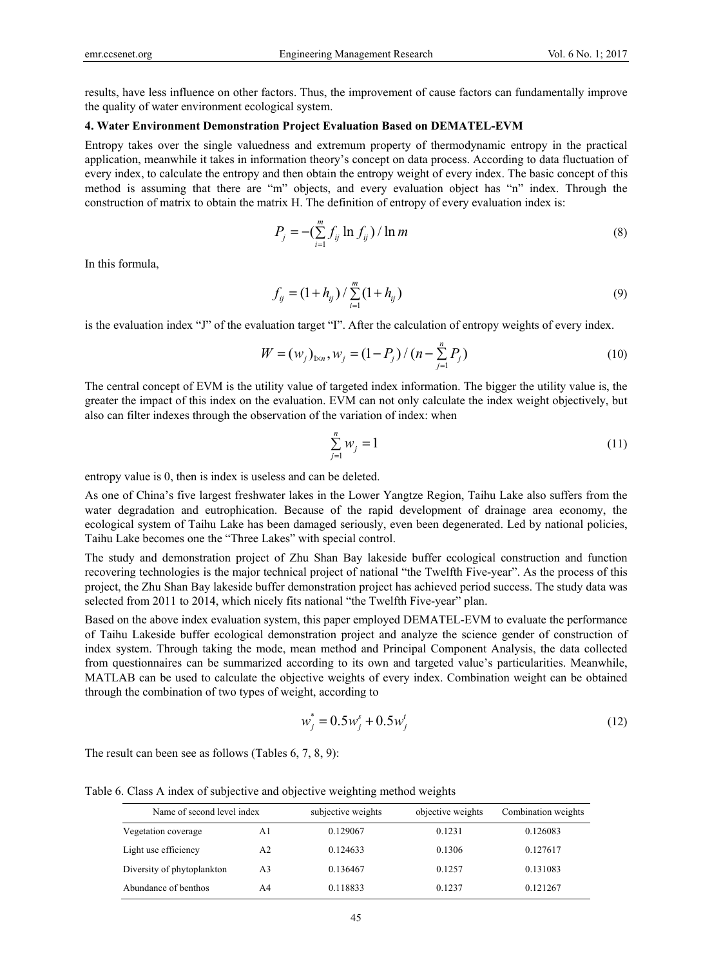results, have less influence on other factors. Thus, the improvement of cause factors can fundamentally improve the quality of water environment ecological system.

## **4. Water Environment Demonstration Project Evaluation Based on DEMATEL-EVM**

Entropy takes over the single valuedness and extremum property of thermodynamic entropy in the practical application, meanwhile it takes in information theory's concept on data process. According to data fluctuation of every index, to calculate the entropy and then obtain the entropy weight of every index. The basic concept of this method is assuming that there are "m" objects, and every evaluation object has "n" index. Through the construction of matrix to obtain the matrix H. The definition of entropy of every evaluation index is:

$$
P_j = -\left(\sum_{i=1}^m f_{ij} \ln f_{ij}\right) / \ln m \tag{8}
$$

In this formula,

$$
f_{ij} = (1 + h_{ij}) / \sum_{i=1}^{m} (1 + h_{ij})
$$
\n(9)

is the evaluation index "J" of the evaluation target "I". After the calculation of entropy weights of every index.

$$
W = (w_j)_{1 \times n}, w_j = (1 - P_j) / (n - \sum_{j=1}^n P_j)
$$
 (10)

The central concept of EVM is the utility value of targeted index information. The bigger the utility value is, the greater the impact of this index on the evaluation. EVM can not only calculate the index weight objectively, but also can filter indexes through the observation of the variation of index: when

$$
\sum_{j=1}^{n} w_j = 1 \tag{11}
$$

entropy value is 0, then is index is useless and can be deleted.

As one of China's five largest freshwater lakes in the Lower Yangtze Region, Taihu Lake also suffers from the water degradation and eutrophication. Because of the rapid development of drainage area economy, the ecological system of Taihu Lake has been damaged seriously, even been degenerated. Led by national policies, Taihu Lake becomes one the "Three Lakes" with special control.

The study and demonstration project of Zhu Shan Bay lakeside buffer ecological construction and function recovering technologies is the major technical project of national "the Twelfth Five-year". As the process of this project, the Zhu Shan Bay lakeside buffer demonstration project has achieved period success. The study data was selected from 2011 to 2014, which nicely fits national "the Twelfth Five-year" plan.

Based on the above index evaluation system, this paper employed DEMATEL-EVM to evaluate the performance of Taihu Lakeside buffer ecological demonstration project and analyze the science gender of construction of index system. Through taking the mode, mean method and Principal Component Analysis, the data collected from questionnaires can be summarized according to its own and targeted value's particularities. Meanwhile, MATLAB can be used to calculate the objective weights of every index. Combination weight can be obtained through the combination of two types of weight, according to

$$
w_j^* = 0.5w_j^s + 0.5w_j^t \tag{12}
$$

The result can been see as follows (Tables 6, 7, 8, 9):

Table 6. Class A index of subjective and objective weighting method weights

| Name of second level index |                | subjective weights | objective weights | Combination weights |
|----------------------------|----------------|--------------------|-------------------|---------------------|
| Vegetation coverage        | A1             | 0.129067           | 0.1231            | 0.126083            |
| Light use efficiency       | A <sub>2</sub> | 0.124633           | 0.1306            | 0.127617            |
| Diversity of phytoplankton | A <sub>3</sub> | 0.136467           | 0.1257            | 0.131083            |
| Abundance of benthos       | A4             | 0.118833           | 0.1237            | 0.121267            |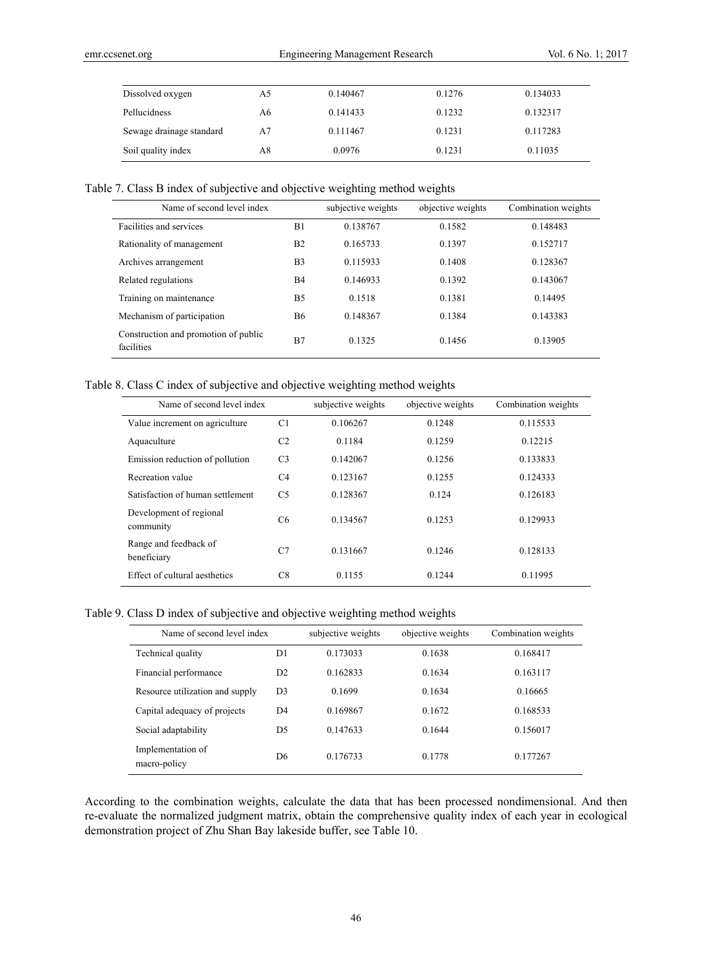| Dissolved oxygen         | A5 | 0.140467 | 0.1276 | 0.134033 |
|--------------------------|----|----------|--------|----------|
| Pellucidness             | А6 | 0.141433 | 0.1232 | 0.132317 |
| Sewage drainage standard | А7 | 0.111467 | 0.1231 | 0.117283 |
| Soil quality index       | Α8 | 0.0976   | 0.1231 | 0.11035  |

Table 7. Class B index of subjective and objective weighting method weights

| Name of second level index                         |                | subjective weights | objective weights | Combination weights |
|----------------------------------------------------|----------------|--------------------|-------------------|---------------------|
| Facilities and services                            | B1             | 0.138767           | 0.1582            | 0.148483            |
| Rationality of management                          | B <sub>2</sub> | 0.165733           | 0.1397            | 0.152717            |
| Archives arrangement                               | B <sub>3</sub> | 0.115933           | 0.1408            | 0.128367            |
| Related regulations                                | <b>B4</b>      | 0.146933           | 0.1392            | 0.143067            |
| Training on maintenance                            | B <sub>5</sub> | 0.1518             | 0.1381            | 0.14495             |
| Mechanism of participation                         | <b>B6</b>      | 0.148367           | 0.1384            | 0.143383            |
| Construction and promotion of public<br>facilities | B7             | 0.1325             | 0.1456            | 0.13905             |

Table 8. Class C index of subjective and objective weighting method weights

| Name of second level index           |                | subjective weights | objective weights | Combination weights |
|--------------------------------------|----------------|--------------------|-------------------|---------------------|
| Value increment on agriculture       | C <sub>1</sub> | 0.106267           | 0.1248            | 0.115533            |
| Aquaculture                          | C <sub>2</sub> | 0.1184             | 0.1259            | 0.12215             |
| Emission reduction of pollution      | C <sub>3</sub> | 0.142067           | 0.1256            | 0.133833            |
| Recreation value                     | C <sub>4</sub> | 0.123167           | 0.1255            | 0.124333            |
| Satisfaction of human settlement     | C <sub>5</sub> | 0.128367           | 0.124             | 0.126183            |
| Development of regional<br>community | C6             | 0.134567           | 0.1253            | 0.129933            |
| Range and feedback of<br>beneficiary | C7             | 0.131667           | 0.1246            | 0.128133            |
| Effect of cultural aesthetics        | C8             | 0.1155             | 0 1 2 4 4         | 0.11995             |

Table 9. Class D index of subjective and objective weighting method weights

| Name of second level index        |                | subjective weights | objective weights | Combination weights |
|-----------------------------------|----------------|--------------------|-------------------|---------------------|
| Technical quality                 | D1             | 0.173033           | 0.1638            | 0.168417            |
| Financial performance             | D2             | 0.162833           | 0.1634            | 0.163117            |
| Resource utilization and supply   | D <sub>3</sub> | 0.1699             | 0.1634            | 0.16665             |
| Capital adequacy of projects      | D <sub>4</sub> | 0.169867           | 0.1672            | 0.168533            |
| Social adaptability               | D <sub>5</sub> | 0.147633           | 0 1 6 4 4         | 0.156017            |
| Implementation of<br>macro-policy | D <sub>6</sub> | 0.176733           | 0.1778            | 0.177267            |

According to the combination weights, calculate the data that has been processed nondimensional. And then re-evaluate the normalized judgment matrix, obtain the comprehensive quality index of each year in ecological demonstration project of Zhu Shan Bay lakeside buffer, see Table 10.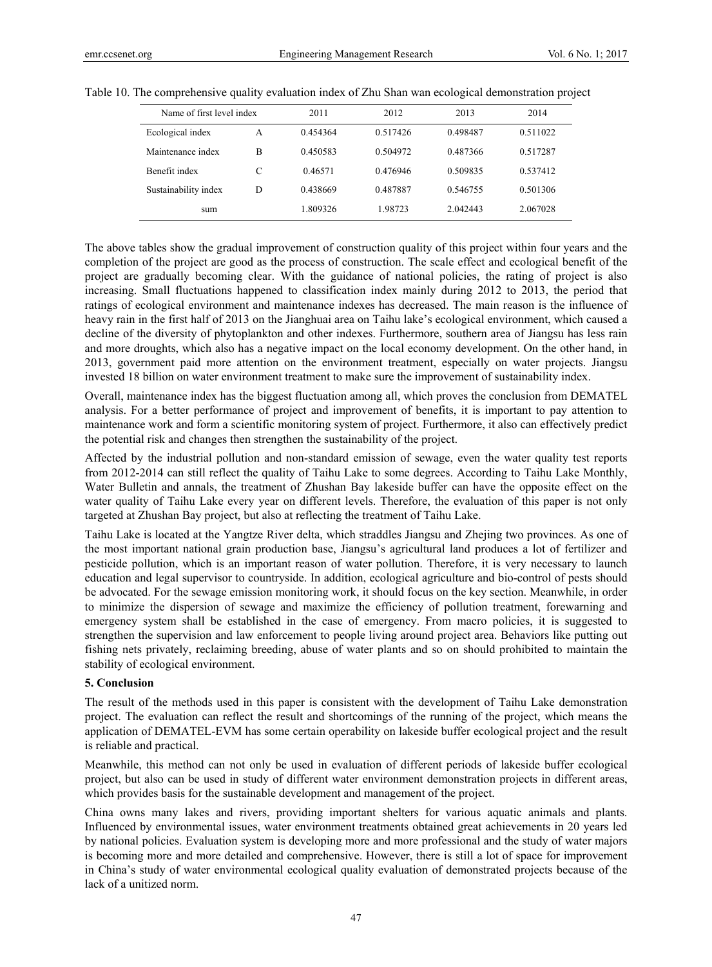| Name of first level index |   | 2011     | 2012     | 2013     | 2014     |
|---------------------------|---|----------|----------|----------|----------|
| Ecological index          | A | 0.454364 | 0.517426 | 0.498487 | 0.511022 |
| Maintenance index         | B | 0.450583 | 0.504972 | 0.487366 | 0.517287 |
| Benefit index             |   | 0.46571  | 0.476946 | 0.509835 | 0.537412 |
| Sustainability index      | D | 0.438669 | 0.487887 | 0.546755 | 0.501306 |
| sum                       |   | 1.809326 | 1.98723  | 2.042443 | 2.067028 |

|  |  |  |  | Table 10. The comprehensive quality evaluation index of Zhu Shan wan ecological demonstration project |  |
|--|--|--|--|-------------------------------------------------------------------------------------------------------|--|
|  |  |  |  |                                                                                                       |  |

The above tables show the gradual improvement of construction quality of this project within four years and the completion of the project are good as the process of construction. The scale effect and ecological benefit of the project are gradually becoming clear. With the guidance of national policies, the rating of project is also increasing. Small fluctuations happened to classification index mainly during 2012 to 2013, the period that ratings of ecological environment and maintenance indexes has decreased. The main reason is the influence of heavy rain in the first half of 2013 on the Jianghuai area on Taihu lake's ecological environment, which caused a decline of the diversity of phytoplankton and other indexes. Furthermore, southern area of Jiangsu has less rain and more droughts, which also has a negative impact on the local economy development. On the other hand, in 2013, government paid more attention on the environment treatment, especially on water projects. Jiangsu invested 18 billion on water environment treatment to make sure the improvement of sustainability index.

Overall, maintenance index has the biggest fluctuation among all, which proves the conclusion from DEMATEL analysis. For a better performance of project and improvement of benefits, it is important to pay attention to maintenance work and form a scientific monitoring system of project. Furthermore, it also can effectively predict the potential risk and changes then strengthen the sustainability of the project.

Affected by the industrial pollution and non-standard emission of sewage, even the water quality test reports from 2012-2014 can still reflect the quality of Taihu Lake to some degrees. According to Taihu Lake Monthly, Water Bulletin and annals, the treatment of Zhushan Bay lakeside buffer can have the opposite effect on the water quality of Taihu Lake every year on different levels. Therefore, the evaluation of this paper is not only targeted at Zhushan Bay project, but also at reflecting the treatment of Taihu Lake.

Taihu Lake is located at the Yangtze River delta, which straddles Jiangsu and Zhejing two provinces. As one of the most important national grain production base, Jiangsu's agricultural land produces a lot of fertilizer and pesticide pollution, which is an important reason of water pollution. Therefore, it is very necessary to launch education and legal supervisor to countryside. In addition, ecological agriculture and bio-control of pests should be advocated. For the sewage emission monitoring work, it should focus on the key section. Meanwhile, in order to minimize the dispersion of sewage and maximize the efficiency of pollution treatment, forewarning and emergency system shall be established in the case of emergency. From macro policies, it is suggested to strengthen the supervision and law enforcement to people living around project area. Behaviors like putting out fishing nets privately, reclaiming breeding, abuse of water plants and so on should prohibited to maintain the stability of ecological environment.

## **5. Conclusion**

The result of the methods used in this paper is consistent with the development of Taihu Lake demonstration project. The evaluation can reflect the result and shortcomings of the running of the project, which means the application of DEMATEL-EVM has some certain operability on lakeside buffer ecological project and the result is reliable and practical.

Meanwhile, this method can not only be used in evaluation of different periods of lakeside buffer ecological project, but also can be used in study of different water environment demonstration projects in different areas, which provides basis for the sustainable development and management of the project.

China owns many lakes and rivers, providing important shelters for various aquatic animals and plants. Influenced by environmental issues, water environment treatments obtained great achievements in 20 years led by national policies. Evaluation system is developing more and more professional and the study of water majors is becoming more and more detailed and comprehensive. However, there is still a lot of space for improvement in China's study of water environmental ecological quality evaluation of demonstrated projects because of the lack of a unitized norm.